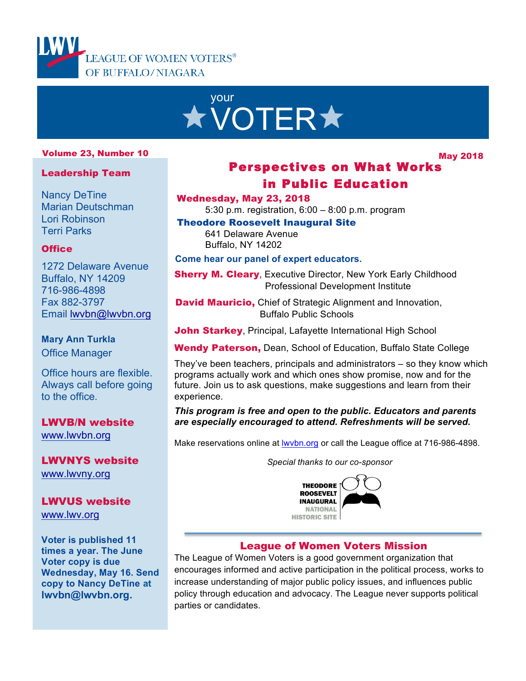



#### Volume 23, Number 10

May 2018

#### Leadership Team

Nancy DeTine Marian Deutschman Lori Robinson Terri Parks

### **Office**

1272 Delaware Avenue Buffalo, NY 14209 716-986-4898 Fax 882-3797 Email lwvbn@lwvbn.org

#### **Mary Ann Turkla**

Office Manager

Office hours are flexible. Always call before going to the office.

LWVB/N website www.lwvbn.org

LWVNYS website www.lwvny.org

#### LWVUS website www.lwv.org

**Voter is published 11 times a year. The June Voter copy is due Wednesday, May 16. Send copy to Nancy DeTine at lwvbn@lwvbn.org.**

# Perspectives on What Works in Public Education

#### Wednesday, May 23, 2018

l,

5:30 p.m. registration, 6:00 – 8:00 p.m. program

Theodore Roosevelt Inaugural Site 641 Delaware Avenue Buffalo, NY 14202

**Come hear our panel of expert educators.**

**Sherry M. Cleary, Executive Director, New York Early Childhood** Professional Development Institute

David Mauricio, Chief of Strategic Alignment and Innovation, Buffalo Public Schools

John Starkey, Principal, Lafayette International High School

Wendy Paterson, Dean, School of Education, Buffalo State College

They've been teachers, principals and administrators – so they know which programs actually work and which ones show promise, now and for the future. Join us to ask questions, make suggestions and learn from their experience.

#### *This program is free and open to the public. Educators and parents are especially encouraged to attend. Refreshments will be served.*

Make reservations online at **wvbn.org** or call the League office at 716-986-4898.

*Special thanks to our co-sponsor*



### League of Women Voters Mission

The League of Women Voters is a good government organization that encourages informed and active participation in the political process, works to increase understanding of major public policy issues, and influences public policy through education and advocacy. The League never supports political parties or candidates.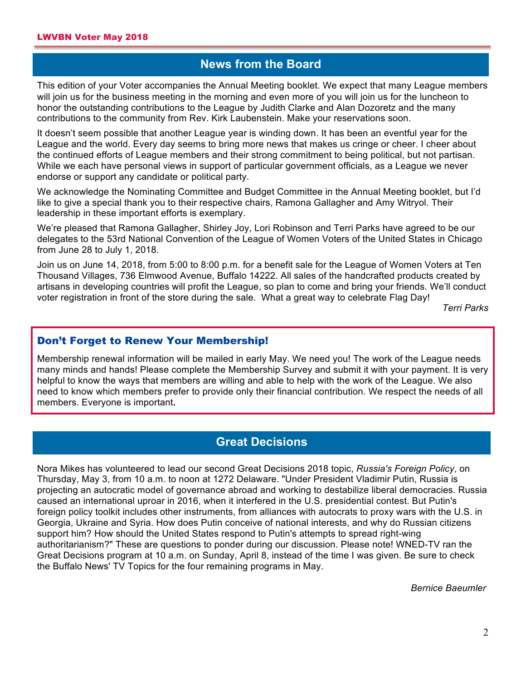### **News from the Board**

This edition of your Voter accompanies the Annual Meeting booklet. We expect that many League members will join us for the business meeting in the morning and even more of you will join us for the luncheon to honor the outstanding contributions to the League by Judith Clarke and Alan Dozoretz and the many contributions to the community from Rev. Kirk Laubenstein. Make your reservations soon.

It doesn't seem possible that another League year is winding down. It has been an eventful year for the League and the world. Every day seems to bring more news that makes us cringe or cheer. I cheer about the continued efforts of League members and their strong commitment to being political, but not partisan. While we each have personal views in support of particular government officials, as a League we never endorse or support any candidate or political party.

We acknowledge the Nominating Committee and Budget Committee in the Annual Meeting booklet, but I'd like to give a special thank you to their respective chairs, Ramona Gallagher and Amy Witryol. Their leadership in these important efforts is exemplary.

We're pleased that Ramona Gallagher, Shirley Joy, Lori Robinson and Terri Parks have agreed to be our delegates to the 53rd National Convention of the League of Women Voters of the United States in Chicago from June 28 to July 1, 2018.

Join us on June 14, 2018, from 5:00 to 8:00 p.m. for a benefit sale for the League of Women Voters at Ten Thousand Villages, 736 Elmwood Avenue, Buffalo 14222. All sales of the handcrafted products created by artisans in developing countries will profit the League, so plan to come and bring your friends. We'll conduct voter registration in front of the store during the sale. What a great way to celebrate Flag Day!

*Terri Parks*

### Don't Forget to Renew Your Membership!

Membership renewal information will be mailed in early May. We need you! The work of the League needs many minds and hands! Please complete the Membership Survey and submit it with your payment. It is very helpful to know the ways that members are willing and able to help with the work of the League. We also need to know which members prefer to provide only their financial contribution. We respect the needs of all members. Everyone is important**.**

## **Great Decisions**

Nora Mikes has volunteered to lead our second Great Decisions 2018 topic, *Russia's Foreign Policy*, on Thursday, May 3, from 10 a.m. to noon at 1272 Delaware. "Under President Vladimir Putin, Russia is projecting an autocratic model of governance abroad and working to destabilize liberal democracies. Russia caused an international uproar in 2016, when it interfered in the U.S. presidential contest. But Putin's foreign policy toolkit includes other instruments, from alliances with autocrats to proxy wars with the U.S. in Georgia, Ukraine and Syria. How does Putin conceive of national interests, and why do Russian citizens support him? How should the United States respond to Putin's attempts to spread right-wing authoritarianism?" These are questions to ponder during our discussion. Please note! WNED-TV ran the Great Decisions program at 10 a.m. on Sunday, April 8, instead of the time I was given. Be sure to check the Buffalo News' TV Topics for the four remaining programs in May.

*Bernice Baeumler*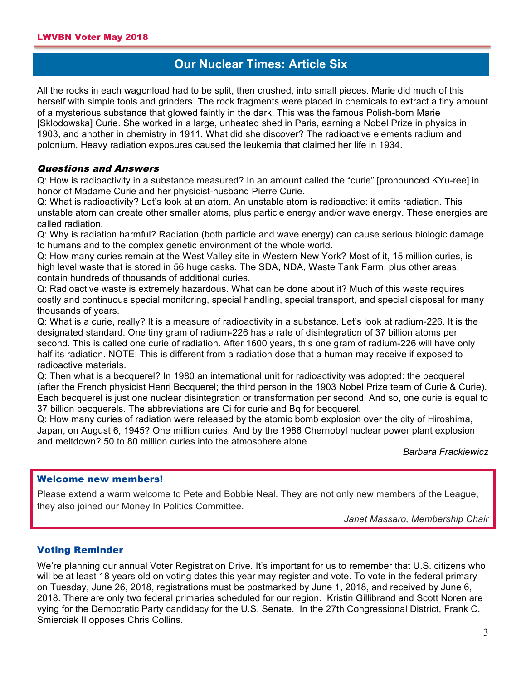### **Our Nuclear Times: Article Six A**

All the rocks in each wagonload had to be split, then crushed, into small pieces. Marie did much of this herself with simple tools and grinders. The rock fragments were placed in chemicals to extract a tiny amount of a mysterious substance that glowed faintly in the dark. This was the famous Polish-born Marie [Sklodowska] Curie. She worked in a large, unheated shed in Paris, earning a Nobel Prize in physics in 1903, and another in chemistry in 1911. What did she discover? The radioactive elements radium and polonium. Heavy radiation exposures caused the leukemia that claimed her life in 1934.

#### Questions and Answers

Q: How is radioactivity in a substance measured? In an amount called the "curie" [pronounced KYu-ree] in honor of Madame Curie and her physicist-husband Pierre Curie.

Q: What is radioactivity? Let's look at an atom. An unstable atom is radioactive: it emits radiation. This unstable atom can create other smaller atoms, plus particle energy and/or wave energy. These energies are called radiation.

Q: Why is radiation harmful? Radiation (both particle and wave energy) can cause serious biologic damage to humans and to the complex genetic environment of the whole world.

Q: How many curies remain at the West Valley site in Western New York? Most of it, 15 million curies, is high level waste that is stored in 56 huge casks. The SDA, NDA, Waste Tank Farm, plus other areas, contain hundreds of thousands of additional curies.

Q: Radioactive waste is extremely hazardous. What can be done about it? Much of this waste requires costly and continuous special monitoring, special handling, special transport, and special disposal for many thousands of years.

Q: What is a curie, really? It is a measure of radioactivity in a substance. Let's look at radium-226. It is the designated standard. One tiny gram of radium-226 has a rate of disintegration of 37 billion atoms per second. This is called one curie of radiation. After 1600 years, this one gram of radium-226 will have only half its radiation. NOTE: This is different from a radiation dose that a human may receive if exposed to radioactive materials.

Q: Then what is a becquerel? In 1980 an international unit for radioactivity was adopted: the becquerel (after the French physicist Henri Becquerel; the third person in the 1903 Nobel Prize team of Curie & Curie). Each becquerel is just one nuclear disintegration or transformation per second. And so, one curie is equal to 37 billion becquerels. The abbreviations are Ci for curie and Bq for becquerel.

Q: How many curies of radiation were released by the atomic bomb explosion over the city of Hiroshima, Japan, on August 6, 1945? One million curies. And by the 1986 Chernobyl nuclear power plant explosion and meltdown? 50 to 80 million curies into the atmosphere alone.

*Barbara Frackiewicz*

#### Welcome new members!

Please extend a warm welcome to Pete and Bobbie Neal. They are not only new members of the League, they also joined our Money In Politics Committee.

*Janet Massaro, Membership Chair*

#### Voting Reminder

We're planning our annual Voter Registration Drive. It's important for us to remember that U.S. citizens who will be at least 18 years old on voting dates this year may register and vote. To vote in the federal primary on Tuesday, June 26, 2018, registrations must be postmarked by June 1, 2018, and received by June 6, 2018. There are only two federal primaries scheduled for our region. Kristin Gillibrand and Scott Noren are vying for the Democratic Party candidacy for the U.S. Senate. In the 27th Congressional District, Frank C. Smierciak II opposes Chris Collins.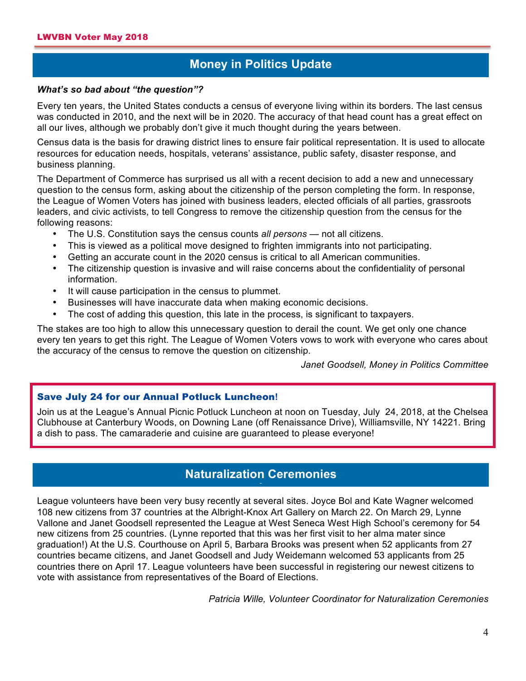## **Money in Politics Update**

#### *What's so bad about "the question"?*

Every ten years, the United States conducts a census of everyone living within its borders. The last census was conducted in 2010, and the next will be in 2020. The accuracy of that head count has a great effect on all our lives, although we probably don't give it much thought during the years between.

Census data is the basis for drawing district lines to ensure fair political representation. It is used to allocate resources for education needs, hospitals, veterans' assistance, public safety, disaster response, and business planning.

The Department of Commerce has surprised us all with a recent decision to add a new and unnecessary question to the census form, asking about the citizenship of the person completing the form. In response, the League of Women Voters has joined with business leaders, elected officials of all parties, grassroots leaders, and civic activists, to tell Congress to remove the citizenship question from the census for the following reasons:

- The U.S. Constitution says the census counts *all persons*  not all citizens.
- This is viewed as a political move designed to frighten immigrants into not participating.
- Getting an accurate count in the 2020 census is critical to all American communities.
- The citizenship question is invasive and will raise concerns about the confidentiality of personal information.
- It will cause participation in the census to plummet.
- Businesses will have inaccurate data when making economic decisions.
- The cost of adding this question, this late in the process, is significant to taxpayers.

The stakes are too high to allow this unnecessary question to derail the count. We get only one chance every ten years to get this right. The League of Women Voters vows to work with everyone who cares about the accuracy of the census to remove the question on citizenship.

*Janet Goodsell, Money in Politics Committee*

### Save July 24 for our Annual Potluck Luncheon**!**

Join us at the League's Annual Picnic Potluck Luncheon at noon on Tuesday, July 24, 2018, at the Chelsea Clubhouse at Canterbury Woods, on Downing Lane (off Renaissance Drive), Williamsville, NY 14221. Bring a dish to pass. The camaraderie and cuisine are guaranteed to please everyone!

### **Naturalization Ceremonies A**

League volunteers have been very busy recently at several sites. Joyce Bol and Kate Wagner welcomed 108 new citizens from 37 countries at the Albright-Knox Art Gallery on March 22. On March 29, Lynne Vallone and Janet Goodsell represented the League at West Seneca West High School's ceremony for 54 new citizens from 25 countries. (Lynne reported that this was her first visit to her alma mater since graduation!) At the U.S. Courthouse on April 5, Barbara Brooks was present when 52 applicants from 27 countries became citizens, and Janet Goodsell and Judy Weidemann welcomed 53 applicants from 25 countries there on April 17. League volunteers have been successful in registering our newest citizens to vote with assistance from representatives of the Board of Elections.

*Patricia Wille, Volunteer Coordinator for Naturalization Ceremonies*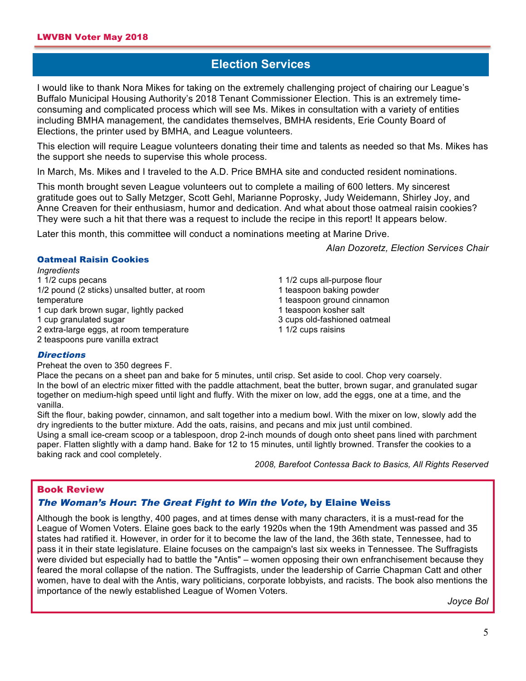# **Election Services**

I would like to thank Nora Mikes for taking on the extremely challenging project of chairing our League's Buffalo Municipal Housing Authority's 2018 Tenant Commissioner Election. This is an extremely timeconsuming and complicated process which will see Ms. Mikes in consultation with a variety of entities including BMHA management, the candidates themselves, BMHA residents, Erie County Board of Elections, the printer used by BMHA, and League volunteers.

This election will require League volunteers donating their time and talents as needed so that Ms. Mikes has the support she needs to supervise this whole process.

In March, Ms. Mikes and I traveled to the A.D. Price BMHA site and conducted resident nominations.

This month brought seven League volunteers out to complete a mailing of 600 letters. My sincerest gratitude goes out to Sally Metzger, Scott Gehl, Marianne Poprosky, Judy Weidemann, Shirley Joy, and Anne Creaven for their enthusiasm, humor and dedication. And what about those oatmeal raisin cookies? They were such a hit that there was a request to include the recipe in this report! It appears below.

Later this month, this committee will conduct a nominations meeting at Marine Drive.

*Alan Dozoretz, Election Services Chair*

#### Oatmeal Raisin Cookies

*Ingredients* 1 1/2 cups pecans 1/2 pound (2 sticks) unsalted butter, at room temperature 1 cup dark brown sugar, lightly packed 1 cup granulated sugar

2 extra-large eggs, at room temperature

2 teaspoons pure vanilla extract

1 1/2 cups all-purpose flour 1 teaspoon baking powder 1 teaspoon ground cinnamon 1 teaspoon kosher salt 3 cups old-fashioned oatmeal 1 1/2 cups raisins

#### **Directions**

Preheat the oven to 350 degrees F.

Place the pecans on a sheet pan and bake for 5 minutes, until crisp. Set aside to cool. Chop very coarsely. In the bowl of an electric mixer fitted with the paddle attachment, beat the butter, brown sugar, and granulated sugar together on medium-high speed until light and fluffy. With the mixer on low, add the eggs, one at a time, and the vanilla.

Sift the flour, baking powder, cinnamon, and salt together into a medium bowl. With the mixer on low, slowly add the dry ingredients to the butter mixture. Add the oats, raisins, and pecans and mix just until combined.

Using a small ice-cream scoop or a tablespoon, drop 2-inch mounds of dough onto sheet pans lined with parchment paper. Flatten slightly with a damp hand. Bake for 12 to 15 minutes, until lightly browned. Transfer the cookies to a baking rack and cool completely.

*2008, Barefoot Contessa Back to Basics, All Rights Reserved*

#### Book Review

#### The Woman's Hour: The Great Fight to Win the Vote, by Elaine Weiss

Although the book is lengthy, 400 pages, and at times dense with many characters, it is a must-read for the League of Women Voters. Elaine goes back to the early 1920s when the 19th Amendment was passed and 35 states had ratified it. However, in order for it to become the law of the land, the 36th state, Tennessee, had to pass it in their state legislature. Elaine focuses on the campaign's last six weeks in Tennessee. The Suffragists were divided but especially had to battle the "Antis" – women opposing their own enfranchisement because they feared the moral collapse of the nation. The Suffragists, under the leadership of Carrie Chapman Catt and other women, have to deal with the Antis, wary politicians, corporate lobbyists, and racists. The book also mentions the importance of the newly established League of Women Voters.

*Joyce Bol*